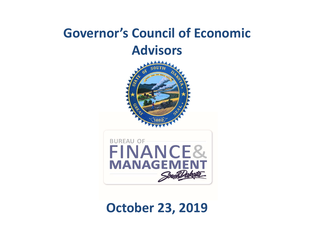## Governor's Council of Economic Advisors





#### October 23, 2019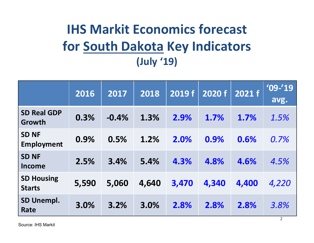# IHS Markit Economics forecast **IHS Markit Economics forecast<br>for <u>South Dakota</u> Key Indicators**<br>(July '19) (July '19)

|                                    |       |         | (July '19) | <b>IHS Markit Economics forecast</b><br>for South Dakota Key Indicators |        |        |                     |
|------------------------------------|-------|---------|------------|-------------------------------------------------------------------------|--------|--------|---------------------|
|                                    | 2016  | 2017    | 2018       | 2019 f                                                                  | 2020 f | 2021 f | $'09 - 19'$<br>avg. |
| <b>SD Real GDP</b><br>Growth       | 0.3%  | $-0.4%$ | 1.3%       | 2.9%                                                                    | 1.7%   | 1.7%   | 1.5%                |
| <b>SD NF</b><br><b>Employment</b>  | 0.9%  | 0.5%    | 1.2%       | 2.0%                                                                    | 0.9%   | 0.6%   | 0.7%                |
| <b>SD NF</b><br><b>Income</b>      | 2.5%  | 3.4%    | 5.4%       | 4.3%                                                                    | 4.8%   | 4.6%   | 4.5%                |
| <b>SD Housing</b><br><b>Starts</b> | 5,590 | 5,060   | 4,640      | 3,470                                                                   | 4,340  | 4,400  | 4,220               |
| SD Unempl.<br>Rate                 | 3.0%  | 3.2%    | 3.0%       | 2.8%                                                                    | 2.8%   | 2.8%   | 3.8%                |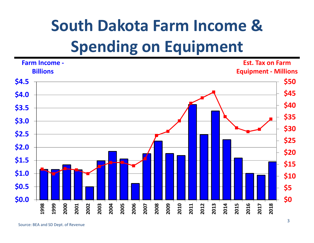# South Dakota Farm Income & Spending on Equipment

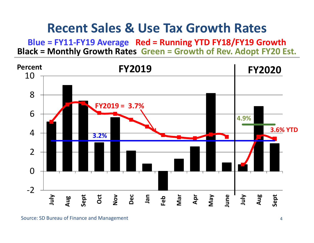#### Recent Sales & Use Tax Growth Rates

Blue = FY11-FY19 Average Red = Running YTD FY18/FY19 Growth Black = Monthly Growth Rates Green = Growth of Rev. Adopt FY20 Est.

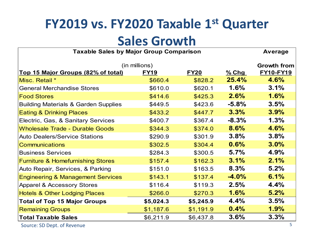## FY2019 vs. FY2020 Taxable 1st Quarter

#### Sales Growth

|                                                |             | <b>Sales Growth</b><br><b>Average</b> |          |                  |  |  |  |  |  |  |
|------------------------------------------------|-------------|---------------------------------------|----------|------------------|--|--|--|--|--|--|
| <b>Taxable Sales by Major Group Comparison</b> |             |                                       |          |                  |  |  |  |  |  |  |
| (in millions)                                  |             | <b>Growth from</b>                    |          |                  |  |  |  |  |  |  |
| Top 15 Major Groups (82% of total)             | <b>FY19</b> | <u>FY20</u>                           | $%$ Chg  | <b>FY10-FY19</b> |  |  |  |  |  |  |
| Misc. Retail *                                 | \$660.4     | \$828.2                               | 25.4%    | 4.6%             |  |  |  |  |  |  |
| <b>General Merchandise Stores</b>              | \$610.0     | \$620.1                               | 1.6%     | 3.1%             |  |  |  |  |  |  |
| <b>Food Stores</b>                             | \$414.6     | \$425.3                               | 2.6%     | 1.6%             |  |  |  |  |  |  |
| Building Materials & Garden Supplies           | \$449.5     | \$423.6                               | $-5.8%$  | 3.5%             |  |  |  |  |  |  |
| <b>Eating &amp; Drinking Places</b>            | \$433.2     | \$447.7                               | 3.3%     | 3.9%             |  |  |  |  |  |  |
| Electric, Gas, & Sanitary Services             | \$400.7     | \$367.4                               | $-8.3%$  | 1.3%             |  |  |  |  |  |  |
| <b>Wholesale Trade - Durable Goods</b>         | \$344.3     | \$374.0                               | 8.6%     | 4.6%             |  |  |  |  |  |  |
| <b>Auto Dealers/Service Stations</b>           | \$290.9     | \$301.9                               | 3.8%     | 3.8%             |  |  |  |  |  |  |
| <b>Communications</b>                          | \$302.5     | \$304.4                               | 0.6%     | $3.0\%$          |  |  |  |  |  |  |
| <b>Business Services</b>                       | \$284.3     | \$300.5                               | 5.7%     | 4.9%             |  |  |  |  |  |  |
| <b>Furniture &amp; Homefurnishing Stores</b>   | \$157.4     | \$162.3                               | 3.1%     | 2.1%             |  |  |  |  |  |  |
| Auto Repair, Services, & Parking               | \$151.0     | \$163.5                               | 8.3%     | 5.2%             |  |  |  |  |  |  |
| <b>Engineering &amp; Management Services</b>   | \$143.1     | \$137.4                               | $-4.0\%$ | 6.1%             |  |  |  |  |  |  |
| <b>Apparel &amp; Accessory Stores</b>          | \$116.4     | \$119.3                               | 2.5%     | 4.4%             |  |  |  |  |  |  |
| <b>Hotels &amp; Other Lodging Places</b>       | \$266.0     | \$270.3                               | 1.6%     | 5.2%             |  |  |  |  |  |  |
| <b>Total of Top 15 Major Groups</b>            | \$5,024.3   | \$5,245.9                             | 4.4%     | 3.5%             |  |  |  |  |  |  |
| <b>Remaining Groups</b>                        | \$1,187.6   | \$1,191.9                             | 0.4%     | 1.9%             |  |  |  |  |  |  |
| <b>Total Taxable Sales</b>                     | \$6,211.9   | \$6,437.8                             | 3.6%     | 3.3%             |  |  |  |  |  |  |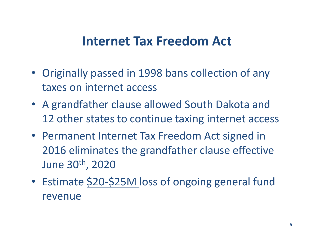#### Internet Tax Freedom Act

- Originally passed in 1998 bans collection of any taxes on internet access
- A grandfather clause allowed South Dakota and 12 other states to continue taxing internet access
- Permanent Internet Tax Freedom Act signed in 2016 eliminates the grandfather clause effective June 30th, 2020
- Estimate \$20-\$25M loss of ongoing general fund revenue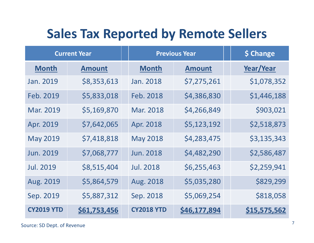## Sales Tax Reported by Remote Sellers

| <b>Sales Tax Reported by Remote Sellers</b><br><b>Current Year</b> |               | <b>Previous Year</b> | \$ Change     |                  |
|--------------------------------------------------------------------|---------------|----------------------|---------------|------------------|
| <b>Month</b>                                                       | <b>Amount</b> | <b>Month</b>         | <b>Amount</b> | <b>Year/Year</b> |
| Jan. 2019                                                          | \$8,353,613   | Jan. 2018            | \$7,275,261   | \$1,078,352      |
| Feb. 2019                                                          | \$5,833,018   | Feb. 2018            | \$4,386,830   | \$1,446,188      |
| Mar. 2019                                                          | \$5,169,870   | Mar. 2018            | \$4,266,849   | \$903,021        |
| Apr. 2019                                                          | \$7,642,065   | Apr. 2018            | \$5,123,192   | \$2,518,873      |
| <b>May 2019</b>                                                    | \$7,418,818   | <b>May 2018</b>      | \$4,283,475   | \$3,135,343      |
| <b>Jun. 2019</b>                                                   | \$7,068,777   | <b>Jun. 2018</b>     | \$4,482,290   | \$2,586,487      |
| <b>Jul. 2019</b>                                                   | \$8,515,404   | <b>Jul. 2018</b>     | \$6,255,463   | \$2,259,941      |
| Aug. 2019                                                          | \$5,864,579   | Aug. 2018            | \$5,035,280   | \$829,299        |
| Sep. 2019                                                          | \$5,887,312   | Sep. 2018            | \$5,069,254   | \$818,058        |
| <b>CY2019 YTD</b>                                                  | \$61,753,456  | <b>CY2018 YTD</b>    | \$46,177,894  | \$15,575,562     |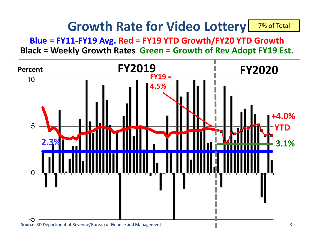#### Growth Rate for Video Lottery 7% of Total

Blue = FY11-FY19 Avg. Red = FY19 YTD Growth/FY20 YTD Growth Black = Weekly Growth Rates Green = Growth of Rev Adopt FY19 Est.

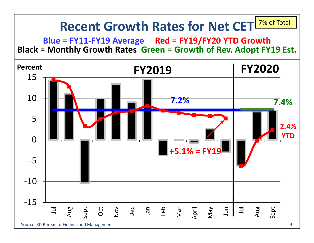#### Recent Growth Rates for Net CET 7% of Total

Blue = FY11-FY19 Average Red = FY19/FY20 YTD Growth Black = Monthly Growth Rates Green = Growth of Rev. Adopt FY19 Est.

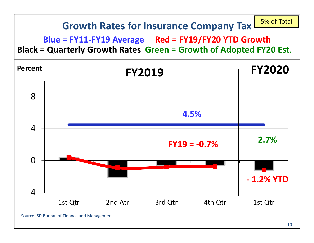#### Growth Rates for Insurance Company Tax

#### Blue = FY11-FY19 Average Red = FY19/FY20 YTD Growth Black = Quarterly Growth Rates Green = Growth of Adopted FY20 Est.



5% of Total